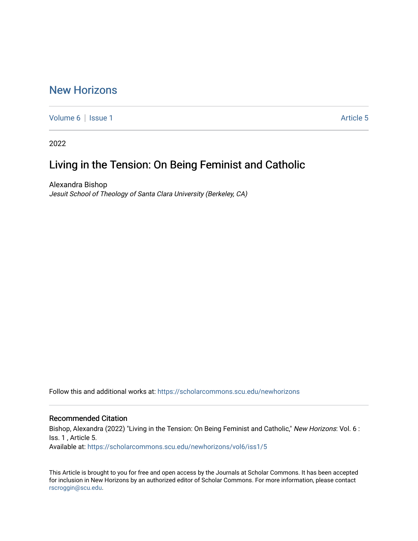# [New Horizons](https://scholarcommons.scu.edu/newhorizons)

[Volume 6](https://scholarcommons.scu.edu/newhorizons/vol6) | [Issue 1](https://scholarcommons.scu.edu/newhorizons/vol6/iss1) Article 5

2022

# Living in the Tension: On Being Feminist and Catholic

Alexandra Bishop Jesuit School of Theology of Santa Clara University (Berkeley, CA)

Follow this and additional works at: [https://scholarcommons.scu.edu/newhorizons](https://scholarcommons.scu.edu/newhorizons?utm_source=scholarcommons.scu.edu%2Fnewhorizons%2Fvol6%2Fiss1%2F5&utm_medium=PDF&utm_campaign=PDFCoverPages)

#### Recommended Citation

Bishop, Alexandra (2022) "Living in the Tension: On Being Feminist and Catholic," New Horizons: Vol. 6 : Iss. 1 , Article 5. Available at: [https://scholarcommons.scu.edu/newhorizons/vol6/iss1/5](https://scholarcommons.scu.edu/newhorizons/vol6/iss1/5?utm_source=scholarcommons.scu.edu%2Fnewhorizons%2Fvol6%2Fiss1%2F5&utm_medium=PDF&utm_campaign=PDFCoverPages)

This Article is brought to you for free and open access by the Journals at Scholar Commons. It has been accepted for inclusion in New Horizons by an authorized editor of Scholar Commons. For more information, please contact [rscroggin@scu.edu](mailto:rscroggin@scu.edu).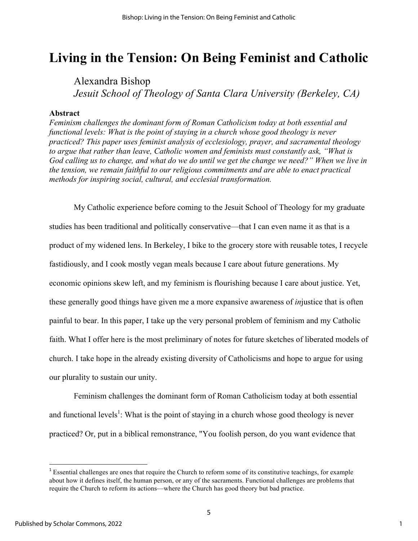# **Living in the Tension: On Being Feminist and Catholic**

Alexandra Bishop *Jesuit School of Theology of Santa Clara University (Berkeley, CA)*

## **Abstract**

*Feminism challenges the dominant form of Roman Catholicism today at both essential and functional levels: What is the point of staying in a church whose good theology is never practiced? This paper uses feminist analysis of ecclesiology, prayer, and sacramental theology to argue that rather than leave, Catholic women and feminists must constantly ask, "What is God calling us to change, and what do we do until we get the change we need?" When we live in the tension, we remain faithful to our religious commitments and are able to enact practical methods for inspiring social, cultural, and ecclesial transformation.*

My Catholic experience before coming to the Jesuit School of Theology for my graduate studies has been traditional and politically conservative—that I can even name it as that is a product of my widened lens. In Berkeley, I bike to the grocery store with reusable totes, I recycle fastidiously, and I cook mostly vegan meals because I care about future generations. My economic opinions skew left, and my feminism is flourishing because I care about justice. Yet, these generally good things have given me a more expansive awareness of *in*justice that is often painful to bear. In this paper, I take up the very personal problem of feminism and my Catholic faith. What I offer here is the most preliminary of notes for future sketches of liberated models of church. I take hope in the already existing diversity of Catholicisms and hope to argue for using our plurality to sustain our unity.

Feminism challenges the dominant form of Roman Catholicism today at both essential and functional levels<sup>1</sup>: What is the point of staying in a church whose good theology is never practiced? Or, put in a biblical remonstrance, "You foolish person, do you want evidence that

<u> 1989 - Johann Stein, fransk politik (d. 1989)</u>

<sup>&</sup>lt;sup>1</sup> Essential challenges are ones that require the Church to reform some of its constitutive teachings, for example about how it defines itself, the human person, or any of the sacraments. Functional challenges are problems that require the Church to reform its actions—where the Church has good theory but bad practice.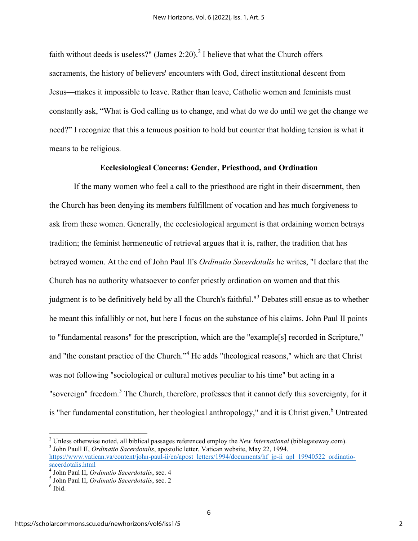faith without deeds is useless?" (James 2:20).<sup>2</sup> I believe that what the Church offers sacraments, the history of believers' encounters with God, direct institutional descent from Jesus—makes it impossible to leave. Rather than leave, Catholic women and feminists must constantly ask, "What is God calling us to change, and what do we do until we get the change we need?" I recognize that this a tenuous position to hold but counter that holding tension is what it means to be religious.

## **Ecclesiological Concerns: Gender, Priesthood, and Ordination**

If the many women who feel a call to the priesthood are right in their discernment, then the Church has been denying its members fulfillment of vocation and has much forgiveness to ask from these women. Generally, the ecclesiological argument is that ordaining women betrays tradition; the feminist hermeneutic of retrieval argues that it is, rather, the tradition that has betrayed women. At the end of John Paul II's *Ordinatio Sacerdotalis* he writes, "I declare that the Church has no authority whatsoever to confer priestly ordination on women and that this judgment is to be definitively held by all the Church's faithful."<sup>3</sup> Debates still ensue as to whether he meant this infallibly or not, but here I focus on the substance of his claims. John Paul II points to "fundamental reasons" for the prescription, which are the "example[s] recorded in Scripture," and "the constant practice of the Church."<sup>4</sup> He adds "theological reasons," which are that Christ was not following "sociological or cultural motives peculiar to his time" but acting in a "sovereign" freedom.<sup>5</sup> The Church, therefore, professes that it cannot defy this sovereignty, for it is "her fundamental constitution, her theological anthropology," and it is Christ given.<sup>6</sup> Untreated

<u> 1989 - Johann Stein, fransk politik (d. 1989)</u>

<sup>2</sup> Unless otherwise noted, all biblical passages referenced employ the *New International* (biblegateway.com). <sup>3</sup> John Paull II, *Ordinatio Sacerdotalis*, apostolic letter, Vatican website, May 22, 1994.

https://www.vatican.va/content/john-paul-ii/en/apost\_letters/1994/documents/hf\_jp-ii\_apl\_19940522\_ordinatiosacerdotalis.html

<sup>&</sup>lt;sup>4</sup> John Paul II, *Ordinatio Sacerdotalis*, sec. 4<br><sup>5</sup> John Paul II, *Ordinatio Sacerdotalis*, sec. 2<br><sup>6</sup> Ibid.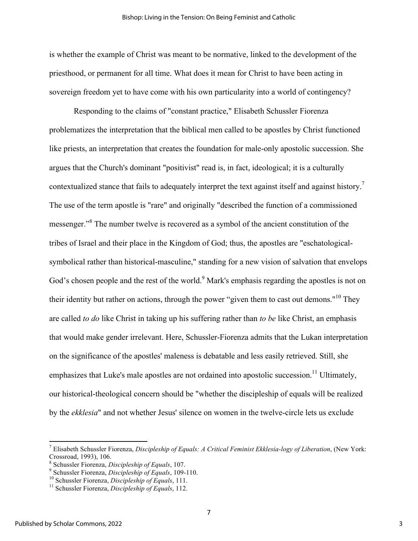is whether the example of Christ was meant to be normative, linked to the development of the priesthood, or permanent for all time. What does it mean for Christ to have been acting in sovereign freedom yet to have come with his own particularity into a world of contingency?

Responding to the claims of "constant practice," Elisabeth Schussler Fiorenza problematizes the interpretation that the biblical men called to be apostles by Christ functioned like priests, an interpretation that creates the foundation for male-only apostolic succession. She argues that the Church's dominant "positivist" read is, in fact, ideological; it is a culturally contextualized stance that fails to adequately interpret the text against itself and against history.<sup>7</sup> The use of the term apostle is "rare" and originally "described the function of a commissioned messenger."<sup>8</sup> The number twelve is recovered as a symbol of the ancient constitution of the tribes of Israel and their place in the Kingdom of God; thus, the apostles are "eschatologicalsymbolical rather than historical-masculine," standing for a new vision of salvation that envelops God's chosen people and the rest of the world.<sup>9</sup> Mark's emphasis regarding the apostles is not on their identity but rather on actions, through the power "given them to cast out demons."<sup>10</sup> They are called *to do* like Christ in taking up his suffering rather than *to be* like Christ, an emphasis that would make gender irrelevant. Here, Schussler-Fiorenza admits that the Lukan interpretation on the significance of the apostles' maleness is debatable and less easily retrieved. Still, she emphasizes that Luke's male apostles are not ordained into apostolic succession.<sup>11</sup> Ultimately, our historical-theological concern should be "whether the discipleship of equals will be realized by the *ekklesia*" and not whether Jesus' silence on women in the twelve-circle lets us exclude

<sup>7</sup> Elisabeth Schussler Fiorenza, *Discipleship of Equals: A Critical Feminist Ekklesia-logy of Liberation*, (New York: Crossroad, 1993), 106.<br>
<sup>8</sup> Schussler Fiorenza, *Discipleship of Equals*, 107.<br>
<sup>9</sup> Schussler Fiorenza, *Discipleship of Equals*, 109-110.<br>
<sup>10</sup> Schussler Fiorenza, *Discipleship of Equals*, 111.<br>
<sup>11</sup> Schussler Fiorenza,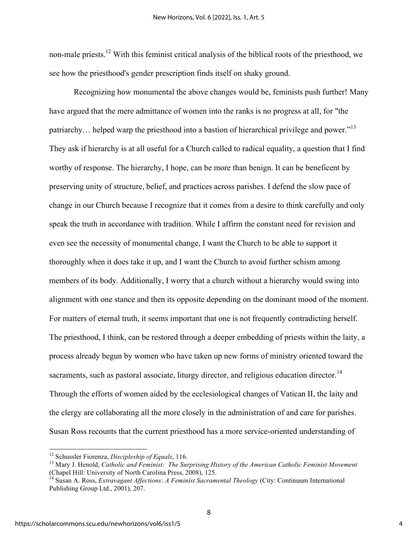non-male priests.<sup>12</sup> With this feminist critical analysis of the biblical roots of the priesthood, we see how the priesthood's gender prescription finds itself on shaky ground.

Recognizing how monumental the above changes would be, feminists push further! Many have argued that the mere admittance of women into the ranks is no progress at all, for "the patriarchy... helped warp the priesthood into a bastion of hierarchical privilege and power."<sup>13</sup> They ask if hierarchy is at all useful for a Church called to radical equality, a question that I find worthy of response. The hierarchy, I hope, can be more than benign. It can be beneficent by preserving unity of structure, belief, and practices across parishes. I defend the slow pace of change in our Church because I recognize that it comes from a desire to think carefully and only speak the truth in accordance with tradition. While I affirm the constant need for revision and even see the necessity of monumental change, I want the Church to be able to support it thoroughly when it does take it up, and I want the Church to avoid further schism among members of its body. Additionally, I worry that a church without a hierarchy would swing into alignment with one stance and then its opposite depending on the dominant mood of the moment. For matters of eternal truth, it seems important that one is not frequently contradicting herself. The priesthood, I think, can be restored through a deeper embedding of priests within the laity, a process already begun by women who have taken up new forms of ministry oriented toward the sacraments, such as pastoral associate, liturgy director, and religious education director.<sup>14</sup> Through the efforts of women aided by the ecclesiological changes of Vatican II, the laity and the clergy are collaborating all the more closely in the administration of and care for parishes. Susan Ross recounts that the current priesthood has a more service-oriented understanding of

<sup>&</sup>lt;sup>12</sup> Schussler Fiorenza, *Discipleship of Equals*, 116.<br><sup>13</sup> Mary J. Henold, *Catholic and Feminist: The Surprising History of the American Catholic Feminist Movement* (Chapel Hill: University of North Carolina Press, 2008), 125.

<sup>14</sup> Susan A. Ross, *Extravagant Affections: A Feminist Sacramental Theology* (City: Continuum International Publishing Group Ltd., 2001), 207.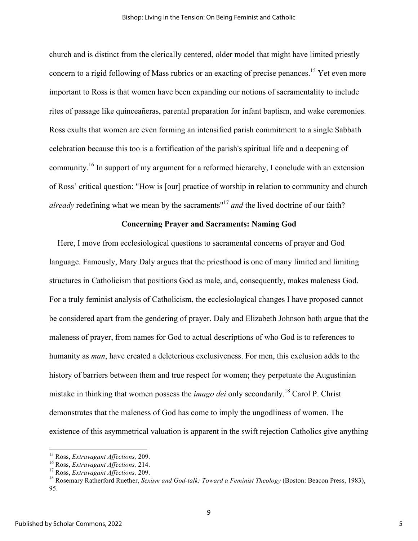church and is distinct from the clerically centered, older model that might have limited priestly concern to a rigid following of Mass rubrics or an exacting of precise penances.<sup>15</sup> Yet even more important to Ross is that women have been expanding our notions of sacramentality to include rites of passage like quinceañeras, parental preparation for infant baptism, and wake ceremonies. Ross exults that women are even forming an intensified parish commitment to a single Sabbath celebration because this too is a fortification of the parish's spiritual life and a deepening of community.<sup>16</sup> In support of my argument for a reformed hierarchy, I conclude with an extension of Ross' critical question: "How is [our] practice of worship in relation to community and church *already* redefining what we mean by the sacraments<sup>"17</sup> *and* the lived doctrine of our faith?

### **Concerning Prayer and Sacraments: Naming God**

 Here, I move from ecclesiological questions to sacramental concerns of prayer and God language. Famously, Mary Daly argues that the priesthood is one of many limited and limiting structures in Catholicism that positions God as male, and, consequently, makes maleness God. For a truly feminist analysis of Catholicism, the ecclesiological changes I have proposed cannot be considered apart from the gendering of prayer. Daly and Elizabeth Johnson both argue that the maleness of prayer, from names for God to actual descriptions of who God is to references to humanity as *man*, have created a deleterious exclusiveness. For men, this exclusion adds to the history of barriers between them and true respect for women; they perpetuate the Augustinian mistake in thinking that women possess the *imago dei* only secondarily. <sup>18</sup> Carol P. Christ demonstrates that the maleness of God has come to imply the ungodliness of women. The existence of this asymmetrical valuation is apparent in the swift rejection Catholics give anything

<sup>&</sup>lt;sup>15</sup> Ross, *Extravagant Affections*, 209.<br><sup>16</sup> Ross, *Extravagant Affections*, 214.<br><sup>17</sup> Ross, *Extravagant Affections*, 209.<br><sup>18</sup> Rosemary Ratherford Ruether, *Sexism and God-talk: Toward a Feminist Theology* (Boston: Be 95.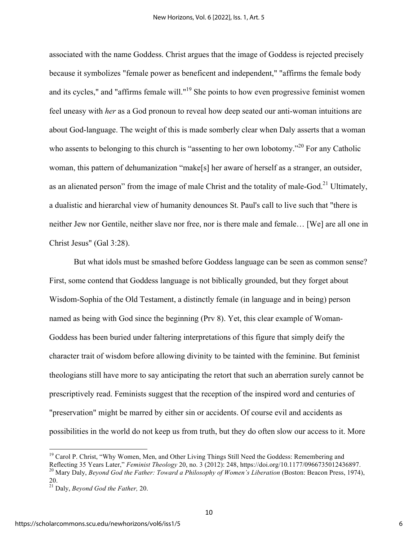associated with the name Goddess. Christ argues that the image of Goddess is rejected precisely because it symbolizes "female power as beneficent and independent," "affirms the female body and its cycles," and "affirms female will."<sup>19</sup> She points to how even progressive feminist women feel uneasy with *her* as a God pronoun to reveal how deep seated our anti-woman intuitions are about God-language. The weight of this is made somberly clear when Daly asserts that a woman who assents to belonging to this church is "assenting to her own lobotomy."<sup>20</sup> For any Catholic woman, this pattern of dehumanization "make[s] her aware of herself as a stranger, an outsider, as an alienated person" from the image of male Christ and the totality of male-God.<sup>21</sup> Ultimately, a dualistic and hierarchal view of humanity denounces St. Paul's call to live such that "there is neither Jew nor Gentile, neither slave nor free, nor is there male and female… [We] are all one in Christ Jesus" (Gal 3:28).

But what idols must be smashed before Goddess language can be seen as common sense? First, some contend that Goddess language is not biblically grounded, but they forget about Wisdom-Sophia of the Old Testament, a distinctly female (in language and in being) person named as being with God since the beginning (Prv 8). Yet, this clear example of Woman-Goddess has been buried under faltering interpretations of this figure that simply deify the character trait of wisdom before allowing divinity to be tainted with the feminine. But feminist theologians still have more to say anticipating the retort that such an aberration surely cannot be prescriptively read. Feminists suggest that the reception of the inspired word and centuries of "preservation" might be marred by either sin or accidents. Of course evil and accidents as possibilities in the world do not keep us from truth, but they do often slow our access to it. More

<sup>&</sup>lt;sup>19</sup> Carol P. Christ, "Why Women, Men, and Other Living Things Still Need the Goddess: Remembering and Reflecting 35 Years Later," *Feminist Theology* 20, no. 3 (2012): 248, https://doi.org/10.1177/0966735012436897. <sup>20</sup> Mary Daly, Beyond God the Father: Toward a Philosophy of Women's Liberation (Boston: Beacon Press, 1974), 20.

<sup>21</sup> Daly, *Beyond God the Father,* 20.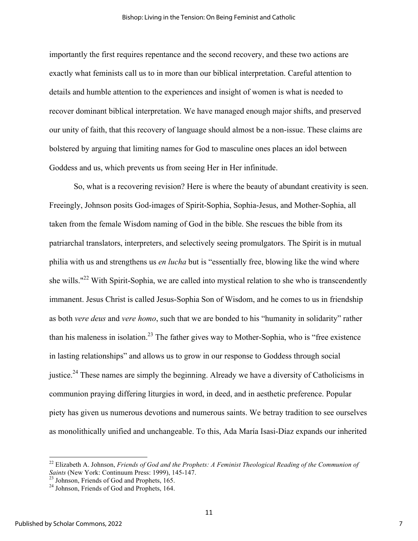importantly the first requires repentance and the second recovery, and these two actions are exactly what feminists call us to in more than our biblical interpretation. Careful attention to details and humble attention to the experiences and insight of women is what is needed to recover dominant biblical interpretation. We have managed enough major shifts, and preserved our unity of faith, that this recovery of language should almost be a non-issue. These claims are bolstered by arguing that limiting names for God to masculine ones places an idol between Goddess and us, which prevents us from seeing Her in Her infinitude.

So, what is a recovering revision? Here is where the beauty of abundant creativity is seen. Freeingly, Johnson posits God-images of Spirit-Sophia, Sophia-Jesus, and Mother-Sophia, all taken from the female Wisdom naming of God in the bible. She rescues the bible from its patriarchal translators, interpreters, and selectively seeing promulgators. The Spirit is in mutual philia with us and strengthens us *en lucha* but is "essentially free, blowing like the wind where she wills."<sup>22</sup> With Spirit-Sophia, we are called into mystical relation to she who is transcendently immanent. Jesus Christ is called Jesus-Sophia Son of Wisdom, and he comes to us in friendship as both *vere deus* and *vere homo*, such that we are bonded to his "humanity in solidarity" rather than his maleness in isolation.<sup>23</sup> The father gives way to Mother-Sophia, who is "free existence" in lasting relationships" and allows us to grow in our response to Goddess through social justice.<sup>24</sup> These names are simply the beginning. Already we have a diversity of Catholicisms in communion praying differing liturgies in word, in deed, and in aesthetic preference. Popular piety has given us numerous devotions and numerous saints. We betray tradition to see ourselves as monolithically unified and unchangeable. To this, Ada María Isasi-Díaz expands our inherited

<u> 1989 - Johann Stein, fransk politik (d. 1989)</u>

<sup>&</sup>lt;sup>22</sup> Elizabeth A. Johnson, *Friends of God and the Prophets: A Feminist Theological Reading of the Communion of Saints* (New York: Continuum Press: 1999), 145-147.<br><sup>23</sup> Johnson, Friends of God and Prophets, 165.<br><sup>24</sup> Johnson, Friends of God and Prophets, 164.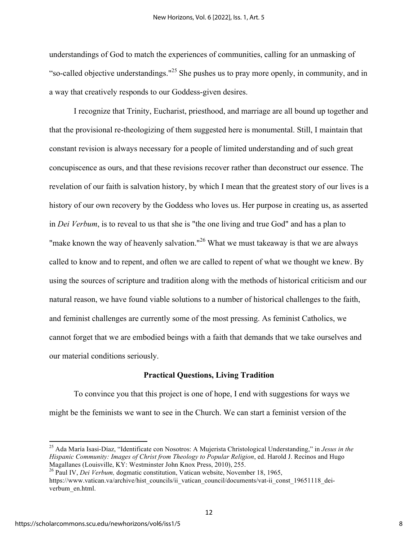understandings of God to match the experiences of communities, calling for an unmasking of "so-called objective understandings."<sup>25</sup> She pushes us to pray more openly, in community, and in a way that creatively responds to our Goddess-given desires.

I recognize that Trinity, Eucharist, priesthood, and marriage are all bound up together and that the provisional re-theologizing of them suggested here is monumental. Still, I maintain that constant revision is always necessary for a people of limited understanding and of such great concupiscence as ours, and that these revisions recover rather than deconstruct our essence. The revelation of our faith is salvation history, by which I mean that the greatest story of our lives is a history of our own recovery by the Goddess who loves us. Her purpose in creating us, as asserted in *Dei Verbum*, is to reveal to us that she is "the one living and true God" and has a plan to "make known the way of heavenly salvation."<sup>26</sup> What we must takeaway is that we are always called to know and to repent, and often we are called to repent of what we thought we knew. By using the sources of scripture and tradition along with the methods of historical criticism and our natural reason, we have found viable solutions to a number of historical challenges to the faith, and feminist challenges are currently some of the most pressing. As feminist Catholics, we cannot forget that we are embodied beings with a faith that demands that we take ourselves and our material conditions seriously.

#### **Practical Questions, Living Tradition**

To convince you that this project is one of hope, I end with suggestions for ways we might be the feminists we want to see in the Church. We can start a feminist version of the

<sup>25</sup> Ada María Isasi-Díaz, "Identificate con Nosotros: A Mujerista Christological Understanding," in *Jesus in the Hispanic Community: Images of Christ from Theology to Popular Religion*, ed. Harold J. Recinos and Hugo Magallanes (Louisville, KY: Westminster John Knox Press, 2010), 255.

<sup>26</sup> Paul IV, *Dei Verbum,* dogmatic constitution, Vatican website, November 18, 1965, https://www.vatican.va/archive/hist\_councils/ii\_vatican\_council/documents/vat-ii\_const\_19651118\_deiverbum\_en.html.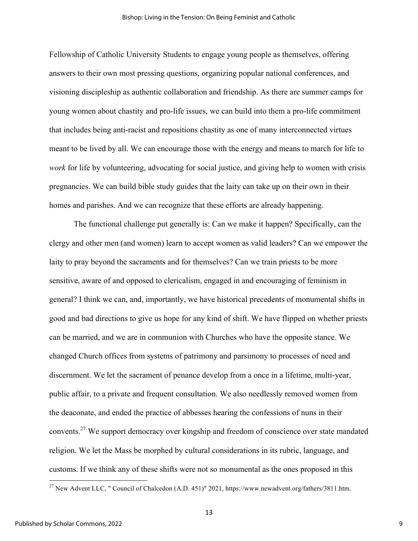Fellowship of Catholic University Students to engage young people as themselves, offering answers to their own most pressing questions, organizing popular national conferences, and visioning discipleship as authentic collaboration and friendship. As there are summer camps for young women about chastity and pro-life issues, we can build into them a pro-life commitment that includes being anti-racist and repositions chastity as one of many interconnected virtues meant to be lived by all. We can encourage those with the energy and means to march for life to *work* for life by volunteering, advocating for social justice, and giving help to women with crisis pregnancies. We can build bible study guides that the laity can take up on their own in their homes and parishes. And we can recognize that these efforts are already happening.

The functional challenge put generally is: Can we make it happen? Specifically, can the clergy and other men (and women) learn to accept women as valid leaders? Can we empower the laity to pray beyond the sacraments and for themselves? Can we train priests to be more sensitive, aware of and opposed to clericalism, engaged in and encouraging of feminism in general? I think we can, and, importantly, we have historical precedents of monumental shifts in good and bad directions to give us hope for any kind of shift. We have flipped on whether priests can be married, and we are in communion with Churches who have the opposite stance. We changed Church offices from systems of patrimony and parsimony to processes of need and discernment. We let the sacrament of penance develop from a once in a lifetime, multi-year, public affair, to a private and frequent consultation. We also needlessly removed women from the deaconate, and ended the practice of abbesses hearing the confessions of nuns in their convents.27 We support democracy over kingship and freedom of conscience over state mandated religion. We let the Mass be morphed by cultural considerations in its rubric, language, and customs. If we think any of these shifts were not so monumental as the ones proposed in this

 

<sup>&</sup>lt;sup>27</sup> New Advent LLC, " Council of Chalcedon (A.D. 451)" 2021, https://www.newadvent.org/fathers/3811.htm.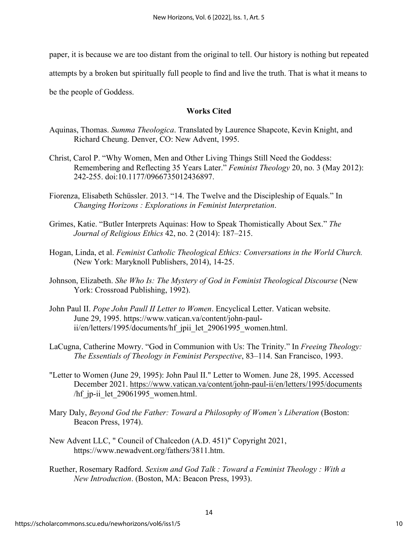paper, it is because we are too distant from the original to tell. Our history is nothing but repeated attempts by a broken but spiritually full people to find and live the truth. That is what it means to be the people of Goddess.

# **Works Cited**

- Aquinas, Thomas. *Summa Theologica*. Translated by Laurence Shapcote, Kevin Knight, and Richard Cheung. Denver, CO: New Advent, 1995.
- Christ, Carol P. "Why Women, Men and Other Living Things Still Need the Goddess: Remembering and Reflecting 35 Years Later." *Feminist Theology* 20, no. 3 (May 2012): 242-255. doi:10.1177/0966735012436897.
- Fiorenza, Elisabeth Schüssler. 2013. "14. The Twelve and the Discipleship of Equals." In *Changing Horizons : Explorations in Feminist Interpretation*.
- Grimes, Katie. "Butler Interprets Aquinas: How to Speak Thomistically About Sex." *The Journal of Religious Ethics* 42, no. 2 (2014): 187–215.
- Hogan, Linda, et al. *Feminist Catholic Theological Ethics: Conversations in the World Church.* (New York: Maryknoll Publishers, 2014), 14-25.
- Johnson, Elizabeth. *She Who Is: The Mystery of God in Feminist Theological Discourse* (New York: Crossroad Publishing, 1992).
- John Paul II. *Pope John Paull II Letter to Women*. Encyclical Letter. Vatican website. June 29, 1995. https://www.vatican.va/content/john-paulii/en/letters/1995/documents/hf\_jpii\_let\_29061995\_women.html.
- LaCugna, Catherine Mowry. "God in Communion with Us: The Trinity." In *Freeing Theology: The Essentials of Theology in Feminist Perspective*, 83–114. San Francisco, 1993.
- "Letter to Women (June 29, 1995): John Paul II." Letter to Women. June 28, 1995. Accessed December 2021. https://www.vatican.va/content/john-paul-ii/en/letters/1995/documents /hf jp-ii let 29061995 women.html.
- Mary Daly, *Beyond God the Father: Toward a Philosophy of Women's Liberation* (Boston: Beacon Press, 1974).
- New Advent LLC, " Council of Chalcedon (A.D. 451)" Copyright 2021, https://www.newadvent.org/fathers/3811.htm.
- Ruether, Rosemary Radford. *Sexism and God Talk : Toward a Feminist Theology : With a New Introduction*. (Boston, MA: Beacon Press, 1993).